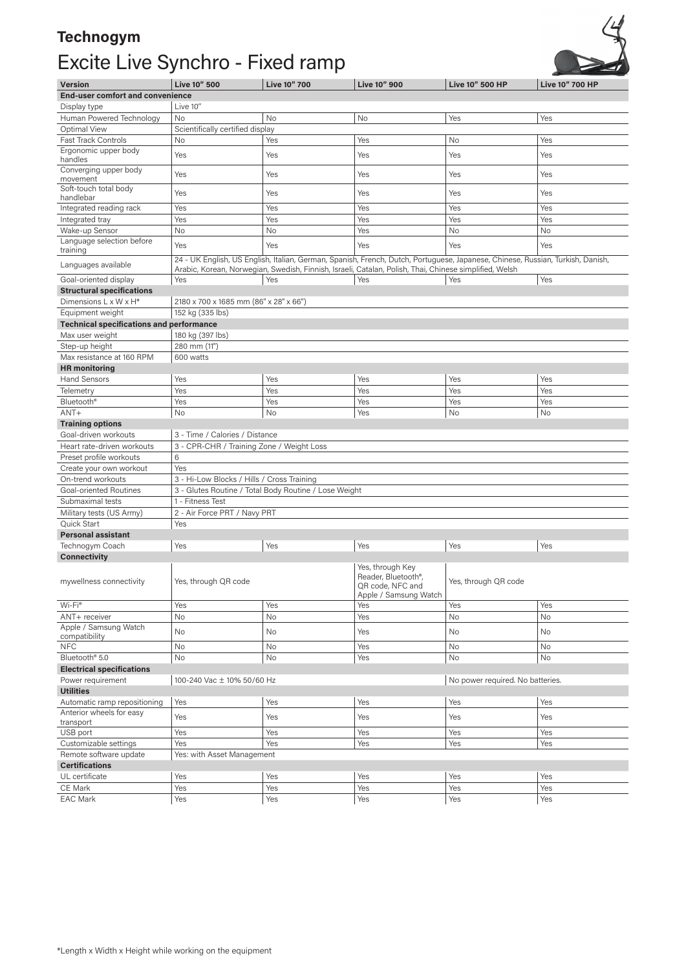## **Technogym**  Excite Live Synchro - Fixed ramp